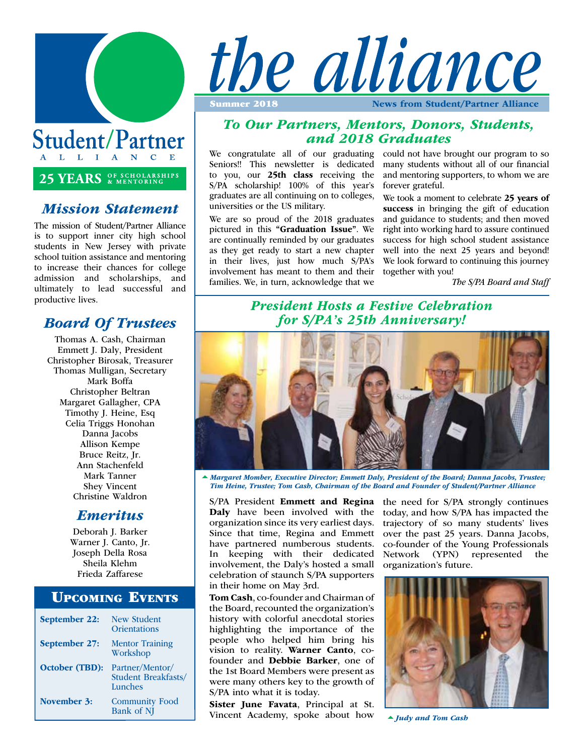

Student/Partner L L I A N C E

# 25 YEARS **SE SCHOLARSHIPS**

#### *Mission Statement*

The mission of Student/Partner Alliance is to support inner city high school students in New Jersey with private school tuition assistance and mentoring to increase their chances for college admission and scholarships, and ultimately to lead successful and productive lives.

# *Board Of Trustees*

Thomas A. Cash, Chairman Emmett J. Daly, President Christopher Birosak, Treasurer Thomas Mulligan, Secretary Mark Boffa Christopher Beltran Margaret Gallagher, CPA Timothy J. Heine, Esq Celia Triggs Honohan Danna Jacobs Allison Kempe Bruce Reitz, Jr. Ann Stachenfeld Mark Tanner Shey Vincent Christine Waldron

#### *Emeritus*

Deborah J. Barker Warner J. Canto, Jr. Joseph Della Rosa Sheila Klehm Frieda Zaffarese

#### Upcoming Events

| September 22:         | <b>New Student</b><br><b>Orientations</b>                |
|-----------------------|----------------------------------------------------------|
| <b>September 27:</b>  | <b>Mentor Training</b><br>Workshop                       |
| <b>October (TBD):</b> | Partner/Mentor/<br><b>Student Breakfasts/</b><br>Lunches |
| November 3:           | <b>Community Food</b><br>Bank of NJ                      |



*To Our Partners, Mentors, Donors, Students, and 2018 Graduates*

We congratulate all of our graduating could not have brought our program to so Seniors!! This newsletter is dedicated to you, our 25th class receiving the S/PA scholarship! 100% of this year's graduates are all continuing on to colleges, universities or the US military.

We are so proud of the 2018 graduates pictured in this "Graduation Issue". We are continually reminded by our graduates as they get ready to start a new chapter in their lives, just how much S/PA's involvement has meant to them and their families. We, in turn, acknowledge that we many students without all of our financial and mentoring supporters, to whom we are forever grateful.

We took a moment to celebrate 25 years of success in bringing the gift of education and guidance to students; and then moved right into working hard to assure continued success for high school student assistance well into the next 25 years and beyond! We look forward to continuing this journey together with you!

*The S/PA Board and Staff*

# *President Hosts a Festive Celebration for S/PA's 25th Anniversary!*



*Margaret Momber, Executive Director; Emmett Daly, President of the Board; Danna Jacobs, Trustee; Tim Heine, Trustee; Tom Cash, Chairman of the Board and Founder of Student/Partner Alliance*

S/PA President Emmett and Regina Daly have been involved with the organization since its very earliest days. Since that time, Regina and Emmett have partnered numberous students. In keeping with their dedicated involvement, the Daly's hosted a small celebration of staunch S/PA supporters in their home on May 3rd.

Tom Cash, co-founder and Chairman of the Board, recounted the organization's history with colorful anecdotal stories highlighting the importance of the people who helped him bring his vision to reality. Warner Canto, cofounder and Debbie Barker, one of the 1st Board Members were present as were many others key to the growth of S/PA into what it is today.

Sister June Favata, Principal at St. Vincent Academy, spoke about how

the need for S/PA strongly continues today, and how S/PA has impacted the trajectory of so many students' lives over the past 25 years. Danna Jacobs, co-founder of the Young Professionals Network (YPN) represented the organization's future.



*Judy and Tom Cash*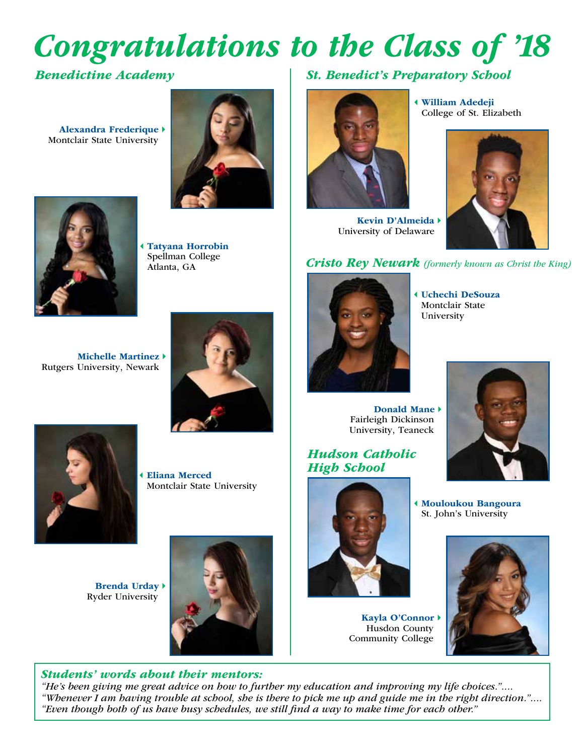# *Congratulations to the Class of '18*

### *Benedictine Academy*

Alexandra Frederique  $\rightarrow$ Montclair State University





Tatyana Horrobin Spellman College Atlanta, GA

*St. Benedict's Preparatory School*



Kevin D'Almeida > University of Delaware

3William Adedeji College of St. Elizabeth



#### *Cristo Rey Newark (formerly known as Christ the King)*

Michelle Martinez  $\rightarrow$ Rutgers University, Newark





3Eliana Merced Montclair State University

Brenda Urday<sup>+</sup> Ryder University



#### *Students' words about their mentors:*

*"He's been giving me great advice on how to further my education and improving my life choices.".... "Whenever I am having trouble at school, she is there to pick me up and guide me in the right direction.".... "Even though both of us have busy schedules, we still find a way to make time for each other."*



3Uchechi DeSouza Montclair State University

Donald Mane  $\rightarrow$ Fairleigh Dickinson University, Teaneck

#### *Hudson Catholic High School*



Kayla O'Connor<sup>+</sup> Husdon County Community College



3Mouloukou Bangoura St. John's University

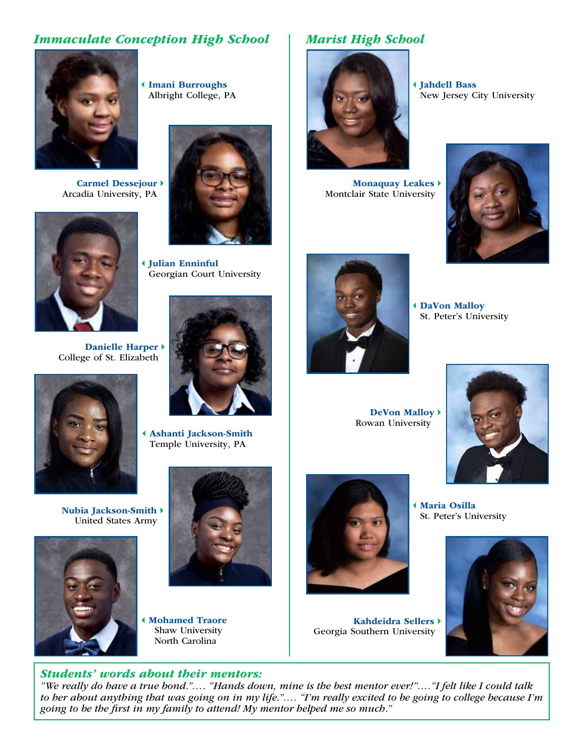### *Immaculate Conception High School*

Albright College, PA

3Julian Enninful

Georgian Court University



Carmel Dessejour > Arcadia University, PA



Danielle Harper > College of St. Elizabeth



Nubia Jackson-Smith  $\rightarrow$ United States Army





Temple University, PA

3Mohamed Traore Shaw University North Carolina

#### *Students' words about their mentors:*

# *Marist High School*



3Jahdell Bass New Jersey City University

Monaquay Leakes  $\rightarrow$ Montclair State University





**4 DaVon Malloy** St. Peter's University

DeVon Malloy  $\rightarrow$ Rowan University



3Maria Osilla St. Peter's University



Kahdeidra Sellers > Georgia Southern University

*"We really do have a true bond."…. "Hands down, mine is the best mentor ever!"…."I felt like I could talk to her about anything that was going on in my life."…. "I'm really excited to be going to college because I'm going to be the first in my family to attend! My mentor helped me so much."*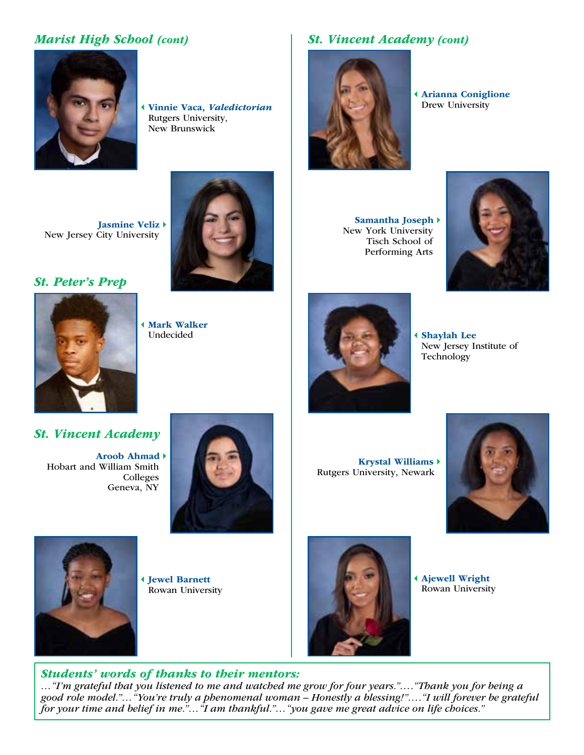# *Marist High School (cont)*



**4 Vinnie Vaca, Valedictorian** Rutgers University, New Brunswick

Jasmine Veliz > New Jersey City University

#### *St. Peter's Prep*

*St. Peter's Prep*



**4 Mark Walker** Undecided

# *St. Vincent Academy (cont)*



**4 Arianna Coniglione**<br>Drew University

Samantha Joseph > New York University Tisch School of Performing Arts





3Shaylah Lee New Jersey Institute of Technology

#### *St. Vincent Academy*

Aroob Ahmad > Hobart and William Smith Colleges Geneva, NY



Krystal Williams Rutgers University, Newark





3Jewel Barnett Rowan University



3Ajewell Wright Rowan University

#### *Students' words of thanks to their mentors:*

*…"I'm grateful that you listened to me and watched me grow for four years."…."Thank you for being a good role model."…"You're truly a phenomenal woman – Honestly a blessing!"…."I will forever be grateful for your time and belief in me."…"I am thankful."…"you gave me great advice on life choices."*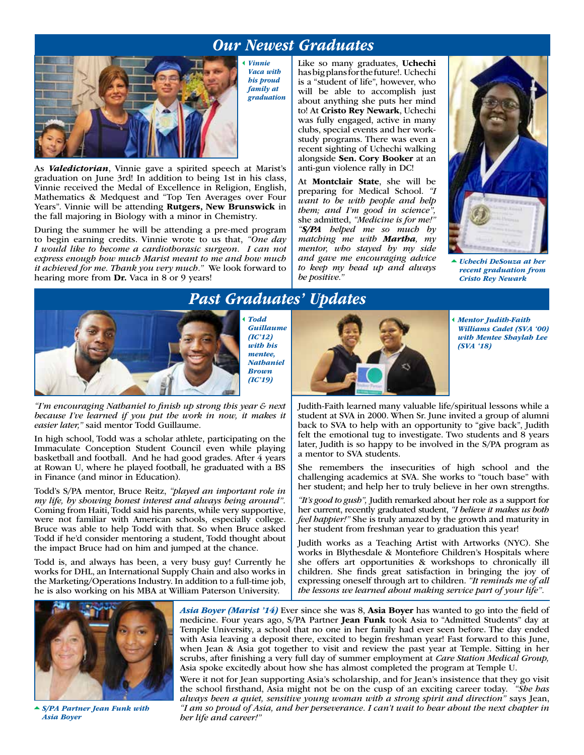# *Our Newest Graduates*



3*Vinnie Vaca with his proud family at graduation*

As *Valedictorian*, Vinnie gave a spirited speech at Marist's graduation on June 3rd! In addition to being 1st in his class, Vinnie received the Medal of Excellence in Religion, English, Mathematics & Medquest and "Top Ten Averages over Four Years". Vinnie will be attending Rutgers, New Brunswick in the fall majoring in Biology with a minor in Chemistry.

During the summer he will be attending a pre-med program to begin earning credits. Vinnie wrote to us that, *"One day I would like to become a cardiothorasic surgeon. I can not express enough how much Marist meant to me and how much it achieved for me. Thank you very much."* We look forward to hearing more from Dr. Vaca in 8 or 9 years!

Like so many graduates, Uchechi has big plans for the future!. Uchechi is a "student of life", however, who will be able to accomplish just about anything she puts her mind to! At Cristo Rey Newark, Uchechi was fully engaged, active in many clubs, special events and her workstudy programs. There was even a recent sighting of Uchechi walking alongside Sen. Cory Booker at an anti-gun violence rally in DC!

At Montclair State, she will be preparing for Medical School. *"I want to be with people and help them; and I'm good in science",*  she admitted, *"Medicine is for me!" "S/PA helped me so much by matching me with Martha, my mentor, who stayed by my side and gave me encouraging advice to keep my head up and always be positive."* 



*Uchechi DeSouza at her recent graduation from Cristo Rey Newark* 



*Past Graduates' Updates*

3*Todd Guillaume (IC'12) with his mentee, Nathaniel Brown (IC'19)*

*"I'm encouraging Nathaniel to finish up strong this year & next because I've learned if you put the work in now, it makes it easier later,"* said mentor Todd Guillaume.

In high school, Todd was a scholar athlete, participating on the Immaculate Conception Student Council even while playing basketball and football. And he had good grades. After 4 years at Rowan U, where he played football, he graduated with a BS in Finance (and minor in Education).

Todd's S/PA mentor, Bruce Reitz, *"played an important role in my life, by showing honest interest and always being around".*  Coming from Haiti, Todd said his parents, while very supportive, were not familiar with American schools, especially college. Bruce was able to help Todd with that. So when Bruce asked Todd if he'd consider mentoring a student, Todd thought about the impact Bruce had on him and jumped at the chance.

Todd is, and always has been, a very busy guy! Currently he works for DHL, an International Supply Chain and also works in the Marketing/Operations Industry. In addition to a full-time job, he is also working on his MBA at William Paterson University.

3*Mentor Judith-Faith Williams Cadet (SVA '00) with Mentee Shaylah Lee (SVA '18)* 

Judith-Faith learned many valuable life/spiritual lessons while a student at SVA in 2000. When Sr. June invited a group of alumni back to SVA to help with an opportunity to "give back", Judith felt the emotional tug to investigate. Two students and 8 years later, Judith is so happy to be involved in the S/PA program as a mentor to SVA students.

She remembers the insecurities of high school and the challenging academics at SVA. She works to "touch base" with her student; and help her to truly believe in her own strengths.

*"It's good to gush",* Judith remarked about her role as a support for her current, recently graduated student, *"I believe it makes us both feel happier!"* She is truly amazed by the growth and maturity in her student from freshman year to graduation this year!

Judith works as a Teaching Artist with Artworks (NYC). She works in Blythesdale & Montefiore Children's Hospitals where she offers art opportunities & workshops to chronically ill children. She finds great satisfaction in bringing the joy of expressing oneself through art to children. *"It reminds me of all the lessons we learned about making service part of your life".* 



*S/PA Partner Jean Funk with Asia Boyer*

*Asia Boyer (Marist '14)* Ever since she was 8, Asia Boyer has wanted to go into the field of medicine. Four years ago, S/PA Partner Jean Funk took Asia to "Admitted Students" day at Temple University, a school that no one in her family had ever seen before. The day ended with Asia leaving a deposit there, excited to begin freshman year! Fast forward to this June, when Jean & Asia got together to visit and review the past year at Temple. Sitting in her scrubs, after finishing a very full day of summer employment at *Care Station Medical Group,* Asia spoke excitedly about how she has almost completed the program at Temple U.

Were it not for Jean supporting Asia's scholarship, and for Jean's insistence that they go visit the school firsthand, Asia might not be on the cusp of an exciting career today. *"She has always been a quiet, sensitive young woman with a strong spirit and direction"* says Jean, *"I am so proud of Asia, and her perseverance. I can't wait to hear about the next chapter in her life and career!"*